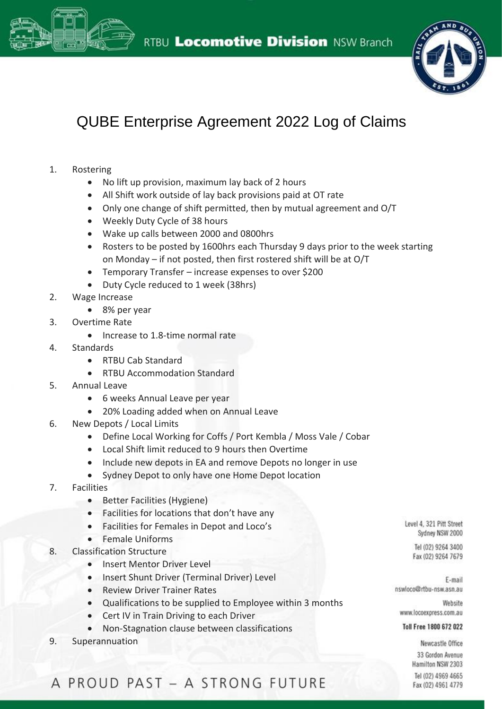



## QUBE Enterprise Agreement 2022 Log of Claims

- 1. Rostering
	- No lift up provision, maximum lay back of 2 hours
	- All Shift work outside of lay back provisions paid at OT rate
	- Only one change of shift permitted, then by mutual agreement and O/T
	- Weekly Duty Cycle of 38 hours
	- Wake up calls between 2000 and 0800hrs
	- Rosters to be posted by 1600hrs each Thursday 9 days prior to the week starting on Monday – if not posted, then first rostered shift will be at O/T
	- Temporary Transfer increase expenses to over \$200
	- Duty Cycle reduced to 1 week (38hrs)
- 2. Wage Increase
	- 8% per year
- 3. Overtime Rate
	- Increase to 1.8-time normal rate
- 4. Standards
	- RTBU Cab Standard
	- RTBU Accommodation Standard
- 5. Annual Leave
	- 6 weeks Annual Leave per year
	- 20% Loading added when on Annual Leave
- 6. New Depots / Local Limits
	- Define Local Working for Coffs / Port Kembla / Moss Vale / Cobar
	- Local Shift limit reduced to 9 hours then Overtime
	- Include new depots in EA and remove Depots no longer in use
	- Sydney Depot to only have one Home Depot location
- 7. Facilities
	- Better Facilities (Hygiene)
	- Facilities for locations that don't have any
	- Facilities for Females in Depot and Loco's
	- Female Uniforms
- 8. Classification Structure
	- Insert Mentor Driver Level
	- Insert Shunt Driver (Terminal Driver) Level
	- Review Driver Trainer Rates
	- Qualifications to be supplied to Employee within 3 months
	- Cert IV in Train Driving to each Driver
	- Non-Stagnation clause between classifications
- 9. Superannuation

Level 4, 321 Pitt Street Sydney NSW 2000

Tel (02) 9264 3400 Fax (02) 9264 7679

F-mail nswloco@rtbu-nsw.asn.au

Website www.locoexpress.com.au

## Toll Free 1800 672 022

Newcastle Office 33 Gordon Avenue Hamilton NSW 2303 Tel (02) 4969 4665 Fax (02) 4961 4779

## A PROUD PAST - A STRONG FUTURE